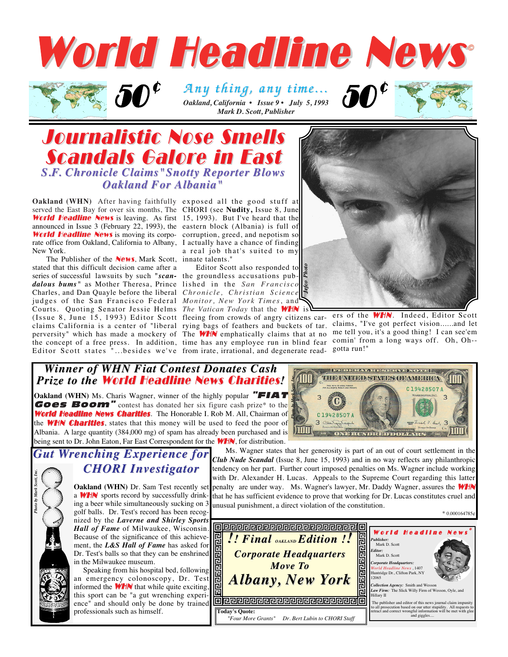

 $\boldsymbol{\mathcal{D}}^{\boldsymbol{\mathcal{C}}}$  Any thing, any time...<sup>50</sup> *Mark D. Scott, Publisher* 

### Journalistic Nose Smells **Scandals Galore in East** *S.F. Chronicle Claims"Snotty Reporter Blows . Chronicle Claims"Snotty Reporter Blows Oakland For Albania*"

**Oakland (WHN)** After having faithfully exposed all the good stuff at served the East Bay for over six months, The CHORI (see **Nudity,** Issue 8, June **World Headline News** is leaving. As first 15, 1993). But I've heard that the announced in Issue 3 (February 22, 1993), the eastern block (Albania) is full of World Headline News is moving its corporate office from Oakland, California to Albany, I actually have a chance of finding New York.

 $e^*$  50°

The Publisher of the **News**, Mark Scott, innate talents." stated that this difficult decision came after a series of successful lawsuits by such *"scan-*the groundless accusations pub*dalous bums"* as Mother Theresa, Prince Charles, and Dan Quayle before the liberal judges of the San Francisco Federal *Monitor, New York Times*, and Courts. Quoting Senator Jessie Helms *The Vatican Today* that the WHN is Editor Scott states <sup>n</sup>...besides we've from irate, irrational, and degenerate read- gotta run!"

corruption, greed, and nepotism so a real job that's suited to my

Editor Scott also responded to lished in the *San Francisco Chronicle, Christian Science*



(Issue 8, June 15, 1993) Editor Scott fleeing from crowds of angry citizens car- ers of the **WHN**. Indeed, Editor Scott claims California is a center of "liberal rying bags of feathers and buckets of tar. claims, "I've got perfect vision......and let perversity" which has made a mockery of The WHN emphatically claims that at no me tell you, it's a good thing! I can see'em the concept of a free press. In addition, time has any employee run in blind fear comin' from a long ways off. Oh, Oh--

#### *Winner of WHN Fiat Contest Donates Cash inner of WHN Fiat Contest Donates Cash* **Prize to the World Headline News Charities!**

**Oakland (WHN)** Ms. Charis Wagner, winner of the highly popular **"FIAT** Goes Boom" contest has donated her six figure cash prize\* to the World Headline News Charities. The Honorable I. Rob M. All, Chairman of the **WHN Charities**, states that this money will be used to feed the poor of Albania. A large quantity (384,000 mg) of spam has already been purchased and is being sent to Dr. John Eaton, Far East Correspondent for the **WHN**, for distribution.



## *Wrenching Experience for CHORI Investigator CHORI Investigator*

*Photo by Mark Scott, Inc.*

**Oakland (WHN)** Dr. Sam Test recently set a **WHN** sports record by successfully drinking a beer while simultaneously sucking on 3 golf balls. Dr. Test's record has been recognized by the *Laverne and Shirley Sports Hall of Fame* of Milwaukee, Wisconsin. Because of the significance of this achievement, the *L&S Hall of Fame* has asked for Dr. Test's balls so that they can be enshrined in the Milwaukee museum.

Speaking from his hospital bed, following an emergency colonoscopy, Dr. Test informed the  $WHN$  that while quite exciting, this sport can be "a gut wrenching experience" and should only be done by trained professionals such as himself.

Ms. Wagner states that her generosity is part of an out of court settlement in the *Club Nude Scandal* (Issue 8, June 15, 1993) and in no way reflects any philanthropic tendency on her part. Further court imposed penalties on Ms. Wagner include working with Dr. Alexander H. Lucas. Appeals to the Supreme Court regarding this latter penalty are under way. Ms. Wagner's lawyer, Mr. Daddy Wagner, assures the **WHA** that he has sufficient evidence to prove that working for Dr. Lucas constitutes cruel and unusual punishment, a direct violation of the constitution.

 $*$  0.000164785 $*$